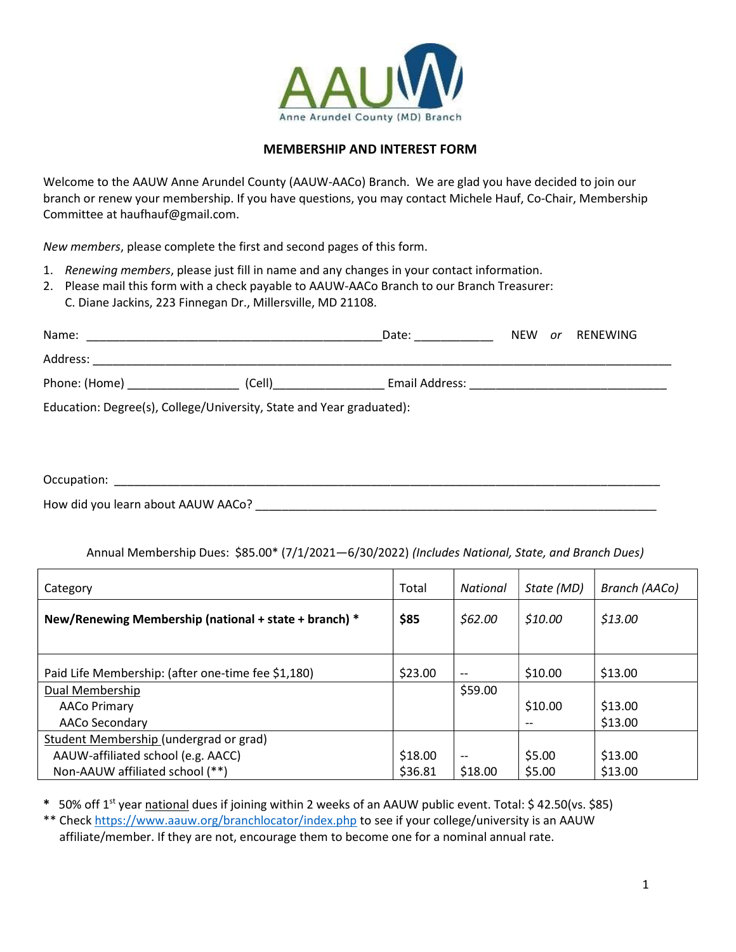

## MEMBERSHIP AND INTEREST FORM

Welcome to the AAUW Anne Arundel County (AAUW-AACo) Branch. We are glad you have decided to join our branch or renew your membership. If you have questions, you may contact Michele Hauf, Co-Chair, Membership Committee at haufhauf@gmail.com.

New members, please complete the first and second pages of this form.

- 1. Renewing members, please just fill in name and any changes in your contact information.
- 2. Please mail this form with a check payable to AAUW-AACo Branch to our Branch Treasurer: C. Diane Jackins, 223 Finnegan Dr., Millersville, MD 21108.

| Name:                                                                |        | Date:          | <b>NEW</b> | or | RENEWING |  |  |
|----------------------------------------------------------------------|--------|----------------|------------|----|----------|--|--|
| Address:                                                             |        |                |            |    |          |  |  |
| Phone: (Home)                                                        | (Cell) | Email Address: |            |    |          |  |  |
| Education: Degree(s), College/University, State and Year graduated): |        |                |            |    |          |  |  |

Occupation: \_\_\_\_\_\_\_\_\_\_\_\_\_\_\_\_\_\_\_\_\_\_\_\_\_\_\_\_\_\_\_\_\_\_\_\_\_\_\_\_\_\_\_\_\_\_\_\_\_\_\_\_\_\_\_\_\_\_\_\_\_\_\_\_\_\_\_\_\_\_\_\_\_\_\_\_\_\_\_\_\_\_\_

How did you learn about AAUW AACo? **Example 20** 

Annual Membership Dues: \$85.00\* (7/1/2021—6/30/2022) (Includes National, State, and Branch Dues)

| Category                                              | Total   | National | State (MD) | Branch (AACo) |
|-------------------------------------------------------|---------|----------|------------|---------------|
| New/Renewing Membership (national + state + branch) * | \$85    | \$62.00  | \$10.00    | \$13.00       |
|                                                       |         |          |            |               |
| Paid Life Membership: (after one-time fee \$1,180)    | \$23.00 | $- -$    | \$10.00    | \$13.00       |
| Dual Membership                                       |         | \$59.00  |            |               |
| <b>AACo Primary</b>                                   |         |          | \$10.00    | \$13.00       |
| AACo Secondary                                        |         |          | $- -$      | \$13.00       |
| Student Membership (undergrad or grad)                |         |          |            |               |
| AAUW-affiliated school (e.g. AACC)                    | \$18.00 | --       | \$5.00     | \$13.00       |
| Non-AAUW affiliated school (**)                       | \$36.81 | \$18.00  | \$5.00     | \$13.00       |

\* 50% off 1<sup>st</sup> year national dues if joining within 2 weeks of an AAUW public event. Total: \$42.50(vs. \$85)

\*\* Check https://www.aauw.org/branchlocator/index.php to see if your college/university is an AAUW affiliate/member. If they are not, encourage them to become one for a nominal annual rate.